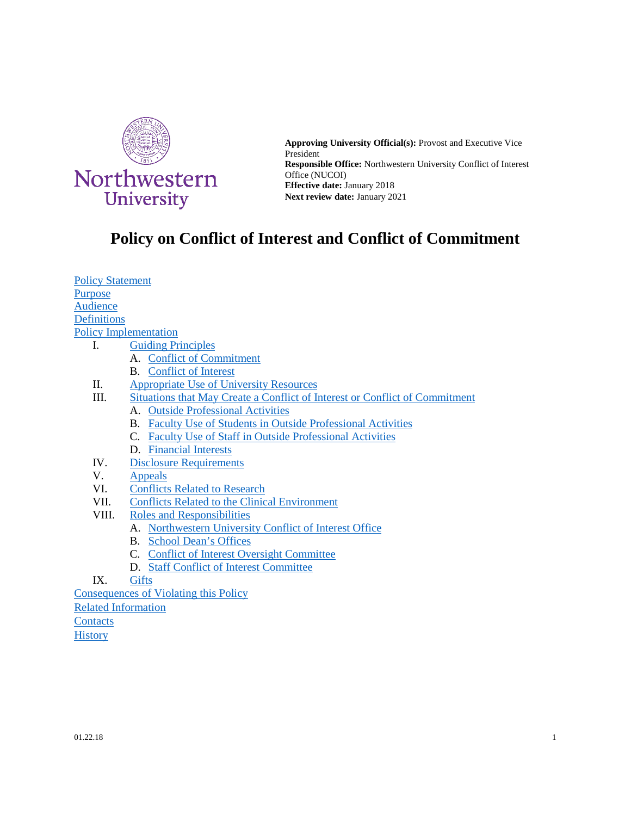

**Approving University Official(s):** Provost and Executive Vice President **Responsible Office:** Northwestern University Conflict of Interest Office (NUCOI) **Effective date:** January 2018 **Next review date:** January 2021

# **Policy on Conflict of Interest and Conflict of Commitment**

[Policy Statement](#page-0-0) [Purpose](#page-1-0) [Audience](#page-1-1) **[Definitions](#page-1-2)** [Policy Implementation](#page-2-0) I. [Guiding Principles](#page-2-1) A. [Conflict of Commitment](#page-3-0)

- B. [Conflict of Interest](#page-3-1)
- II. [Appropriate Use of University Resources](#page-4-0)
- III. [Situations that May Create a Conflict of Interest or Conflict of Commitment](#page-4-1)
	- A. [Outside Professional Activities](#page-5-0)
	- B. [Faculty Use of Students in Outside Professional Activities](#page-6-0)
	- C. [Faculty Use of Staff in Outside Professional Activities](#page-6-1)
	- D. [Financial Interests](#page-7-0)
- IV. [Disclosure Requirements](#page-8-0)<br>V. Appeals
- **[Appeals](#page-9-0)**
- VI. [Conflicts Related to Research](#page-9-1)
- VII. [Conflicts Related to the Clinical Environment](#page-10-0)
- VIII. [Roles and Responsibilities](#page-10-1)
	- A. [Northwestern University Conflict of Interest Office](#page-10-2)
	- B. [School Dean's Offices](#page-10-3)
	- C. [Conflict of Interest Oversight Committee](#page-11-0)
	- D. [Staff Conflict of Interest Committee](#page-11-1)
- IX. [Gifts](#page-11-2)

[Consequences of Violating this Policy](#page-12-0)

[Related Information](#page-12-1)

**[Contacts](#page-13-0)** 

<span id="page-0-0"></span>**[History](#page-13-1)**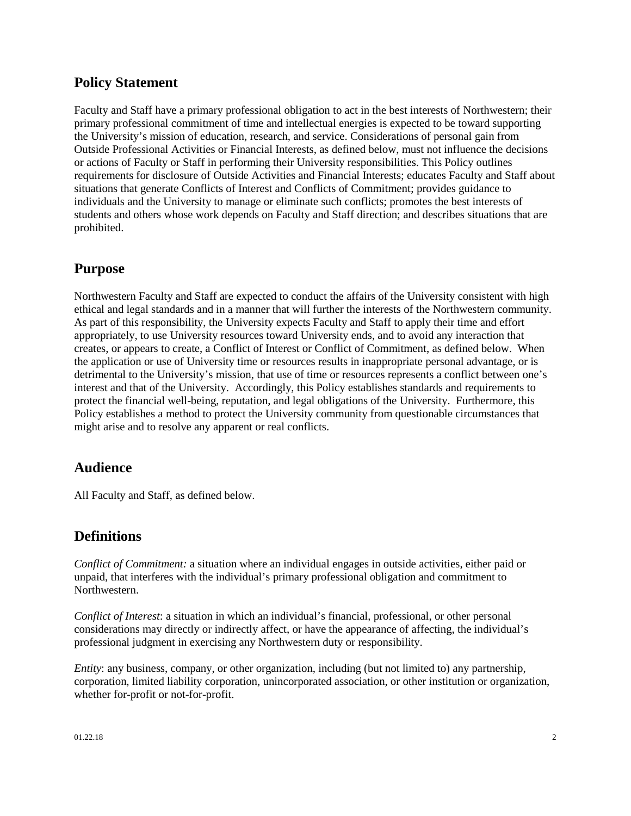## **Policy Statement**

Faculty and Staff have a primary professional obligation to act in the best interests of Northwestern; their primary professional commitment of time and intellectual energies is expected to be toward supporting the University's mission of education, research, and service. Considerations of personal gain from Outside Professional Activities or Financial Interests, as defined below, must not influence the decisions or actions of Faculty or Staff in performing their University responsibilities. This Policy outlines requirements for disclosure of Outside Activities and Financial Interests; educates Faculty and Staff about situations that generate Conflicts of Interest and Conflicts of Commitment; provides guidance to individuals and the University to manage or eliminate such conflicts; promotes the best interests of students and others whose work depends on Faculty and Staff direction; and describes situations that are prohibited.

### <span id="page-1-0"></span>**Purpose**

Northwestern Faculty and Staff are expected to conduct the affairs of the University consistent with high ethical and legal standards and in a manner that will further the interests of the Northwestern community. As part of this responsibility, the University expects Faculty and Staff to apply their time and effort appropriately, to use University resources toward University ends, and to avoid any interaction that creates, or appears to create, a Conflict of Interest or Conflict of Commitment, as defined below. When the application or use of University time or resources results in inappropriate personal advantage, or is detrimental to the University's mission, that use of time or resources represents a conflict between one's interest and that of the University. Accordingly, this Policy establishes standards and requirements to protect the financial well-being, reputation, and legal obligations of the University. Furthermore, this Policy establishes a method to protect the University community from questionable circumstances that might arise and to resolve any apparent or real conflicts.

### <span id="page-1-1"></span>**Audience**

All Faculty and Staff, as defined below.

### <span id="page-1-2"></span>**Definitions**

*Conflict of Commitment:* a situation where an individual engages in outside activities, either paid or unpaid, that interferes with the individual's primary professional obligation and commitment to Northwestern.

*Conflict of Interest*: a situation in which an individual's financial, professional, or other personal considerations may directly or indirectly affect, or have the appearance of affecting, the individual's professional judgment in exercising any Northwestern duty or responsibility.

*Entity*: any business, company, or other organization, including (but not limited to) any partnership, corporation, limited liability corporation, unincorporated association, or other institution or organization, whether for-profit or not-for-profit.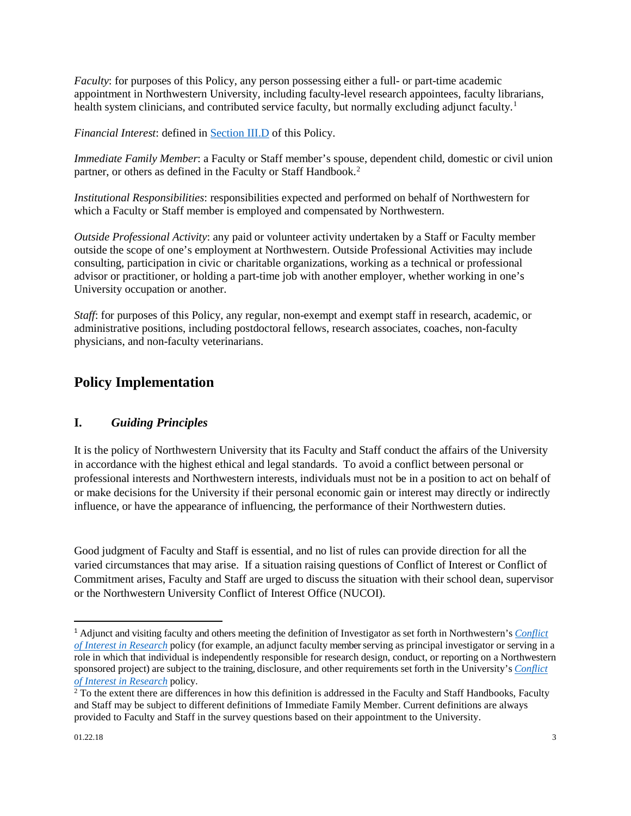*Faculty*: for purposes of this Policy, any person possessing either a full- or part-time academic appointment in Northwestern University, including faculty-level research appointees, faculty librarians, health system clinicians, and contributed service faculty, but normally excluding adjunct faculty.<sup>[1](#page-2-2)</sup>

*Financial Interest*: defined in [Section III.D](#page-7-0) of this Policy.

*Immediate Family Member*: a Faculty or Staff member's spouse, dependent child, domestic or civil union partner, or others as defined in the Faculty or Staff Handbook.<sup>[2](#page-2-3)</sup>

*Institutional Responsibilities*: responsibilities expected and performed on behalf of Northwestern for which a Faculty or Staff member is employed and compensated by Northwestern.

*Outside Professional Activity*: any paid or volunteer activity undertaken by a Staff or Faculty member outside the scope of one's employment at Northwestern. Outside Professional Activities may include consulting, participation in civic or charitable organizations, working as a technical or professional advisor or practitioner, or holding a part-time job with another employer, whether working in one's University occupation or another.

*Staff*: for purposes of this Policy, any regular, non-exempt and exempt staff in research, academic, or administrative positions, including postdoctoral fellows, research associates, coaches, non-faculty physicians, and non-faculty veterinarians.

## <span id="page-2-1"></span><span id="page-2-0"></span>**Policy Implementation**

#### **I.** *Guiding Principles*

It is the policy of Northwestern University that its Faculty and Staff conduct the affairs of the University in accordance with the highest ethical and legal standards. To avoid a conflict between personal or professional interests and Northwestern interests, individuals must not be in a position to act on behalf of or make decisions for the University if their personal economic gain or interest may directly or indirectly influence, or have the appearance of influencing, the performance of their Northwestern duties.

Good judgment of Faculty and Staff is essential, and no list of rules can provide direction for all the varied circumstances that may arise. If a situation raising questions of Conflict of Interest or Conflict of Commitment arises, Faculty and Staff are urged to discuss the situation with their school dean, supervisor or the Northwestern University Conflict of Interest Office (NUCOI).

<span id="page-2-2"></span> <sup>1</sup> Adjunct and visiting faculty and others meeting the definition of Investigator as set forth in Northwestern's *[Conflict](http://www.northwestern.edu/coi/policy/research_policy.pdf)  [of Interest in Research](http://www.northwestern.edu/coi/policy/research_policy.pdf)* policy (for example, an adjunct faculty member serving as principal investigator or serving in a role in which that individual is independently responsible for research design, conduct, or reporting on a Northwestern sponsored project) are subject to the training, disclosure, and other requirements set forth in the University's *[Conflict](http://www.northwestern.edu/coi/policy/research_policy.pdf)  [of Interest in Research](http://www.northwestern.edu/coi/policy/research_policy.pdf)* policy.

<span id="page-2-3"></span> $\overline{2}$  To the extent there are differences in how this definition is addressed in the Faculty and Staff Handbooks, Faculty and Staff may be subject to different definitions of Immediate Family Member. Current definitions are always provided to Faculty and Staff in the survey questions based on their appointment to the University.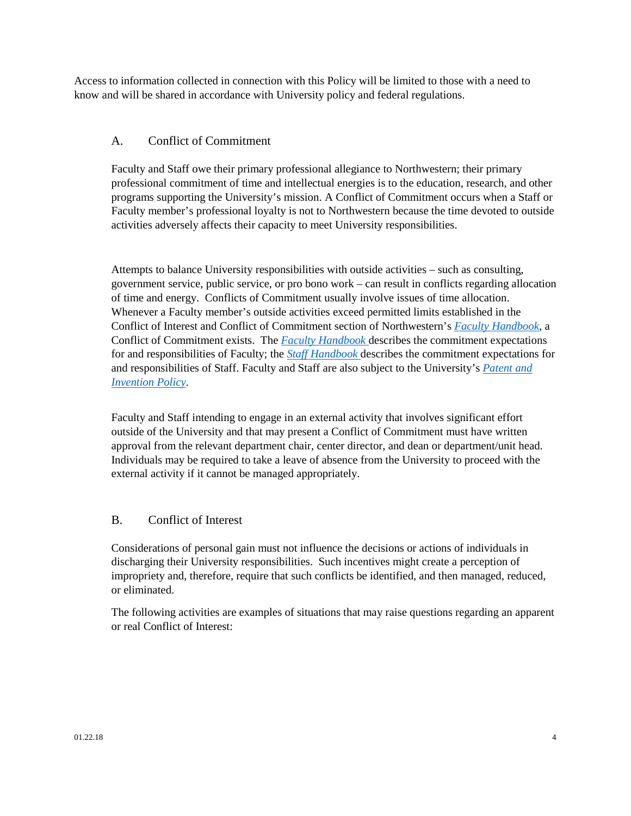Access to information collected in connection with this Policy will be limited to those with a need to know and will be shared in accordance with University policy and federal regulations.

#### <span id="page-3-0"></span>A. Conflict of Commitment

Faculty and Staff owe their primary professional allegiance to Northwestern; their primary professional commitment of time and intellectual energies is to the education, research, and other programs supporting the University's mission. A Conflict of Commitment occurs when a Staff or Faculty member's professional loyalty is not to Northwestern because the time devoted to outside activities adversely affects their capacity to meet University responsibilities.

Attempts to balance University responsibilities with outside activities – such as consulting, government service, public service, or pro bono work – can result in conflicts regarding allocation of time and energy. Conflicts of Commitment usually involve issues of time allocation. Whenever a Faculty member's outside activities exceed permitted limits established in the Conflict of Interest and Conflict of Commitment section of Northwestern's *[Faculty Handbook](http://www.northwestern.edu/provost/docs/faculty_handbook_2016.pdf)*, a Conflict of Commitment exists. The *[Faculty Handbook](http://www.northwestern.edu/provost/docs/faculty_handbook_2016.pdf)* describes the commitment expectations for and responsibilities of Faculty; the *[Staff Handbook](http://www.northwestern.edu/hr/policies-forms/policies-procedures/NU_Staff_Handbook.pdf)* describes the commitment expectations for and responsibilities of Staff. Faculty and Staff are also subject to the University's *[Patent and](http://policies.northwestern.edu/docs/patent-and-invention-policy-FINAL.pdf)  [Invention Policy](http://policies.northwestern.edu/docs/patent-and-invention-policy-FINAL.pdf)*.

Faculty and Staff intending to engage in an external activity that involves significant effort outside of the University and that may present a Conflict of Commitment must have written approval from the relevant department chair, center director, and dean or department/unit head. Individuals may be required to take a leave of absence from the University to proceed with the external activity if it cannot be managed appropriately.

#### <span id="page-3-1"></span>B. Conflict of Interest

Considerations of personal gain must not influence the decisions or actions of individuals in discharging their University responsibilities. Such incentives might create a perception of impropriety and, therefore, require that such conflicts be identified, and then managed, reduced, or eliminated.

The following activities are examples of situations that may raise questions regarding an apparent or real Conflict of Interest: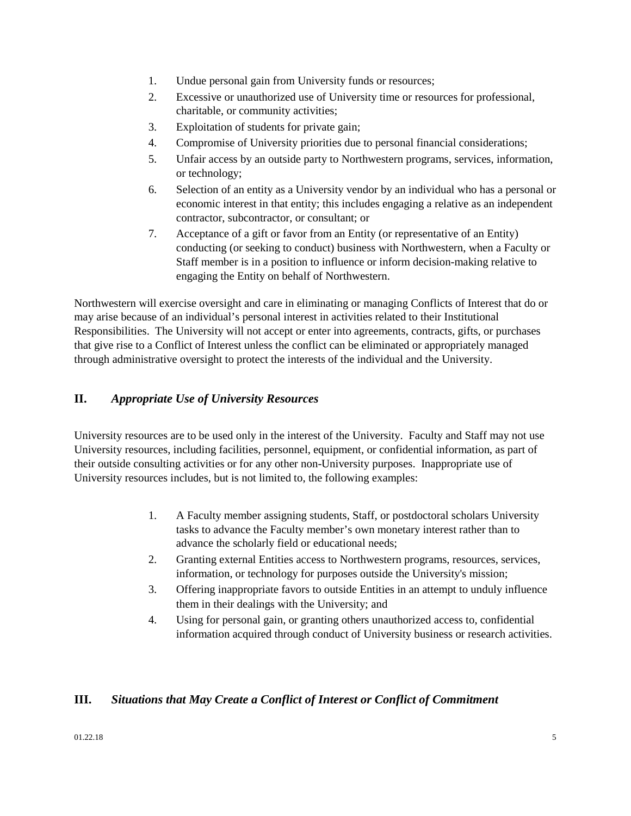- 1. Undue personal gain from University funds or resources;
- 2. Excessive or unauthorized use of University time or resources for professional, charitable, or community activities;
- 3. Exploitation of students for private gain;
- 4. Compromise of University priorities due to personal financial considerations;
- 5. Unfair access by an outside party to Northwestern programs, services, information, or technology;
- 6. Selection of an entity as a University vendor by an individual who has a personal or economic interest in that entity; this includes engaging a relative as an independent contractor, subcontractor, or consultant; or
- 7. Acceptance of a gift or favor from an Entity (or representative of an Entity) conducting (or seeking to conduct) business with Northwestern, when a Faculty or Staff member is in a position to influence or inform decision-making relative to engaging the Entity on behalf of Northwestern.

Northwestern will exercise oversight and care in eliminating or managing Conflicts of Interest that do or may arise because of an individual's personal interest in activities related to their Institutional Responsibilities. The University will not accept or enter into agreements, contracts, gifts, or purchases that give rise to a Conflict of Interest unless the conflict can be eliminated or appropriately managed through administrative oversight to protect the interests of the individual and the University.

#### <span id="page-4-0"></span>**II.** *Appropriate Use of University Resources*

University resources are to be used only in the interest of the University. Faculty and Staff may not use University resources, including facilities, personnel, equipment, or confidential information, as part of their outside consulting activities or for any other non-University purposes. Inappropriate use of University resources includes, but is not limited to, the following examples:

- 1. A Faculty member assigning students, Staff, or postdoctoral scholars University tasks to advance the Faculty member's own monetary interest rather than to advance the scholarly field or educational needs;
- 2. Granting external Entities access to Northwestern programs, resources, services, information, or technology for purposes outside the University's mission;
- 3. Offering inappropriate favors to outside Entities in an attempt to unduly influence them in their dealings with the University; and
- 4. Using for personal gain, or granting others unauthorized access to, confidential information acquired through conduct of University business or research activities.

#### <span id="page-4-1"></span>**III.** *Situations that May Create a Conflict of Interest or Conflict of Commitment*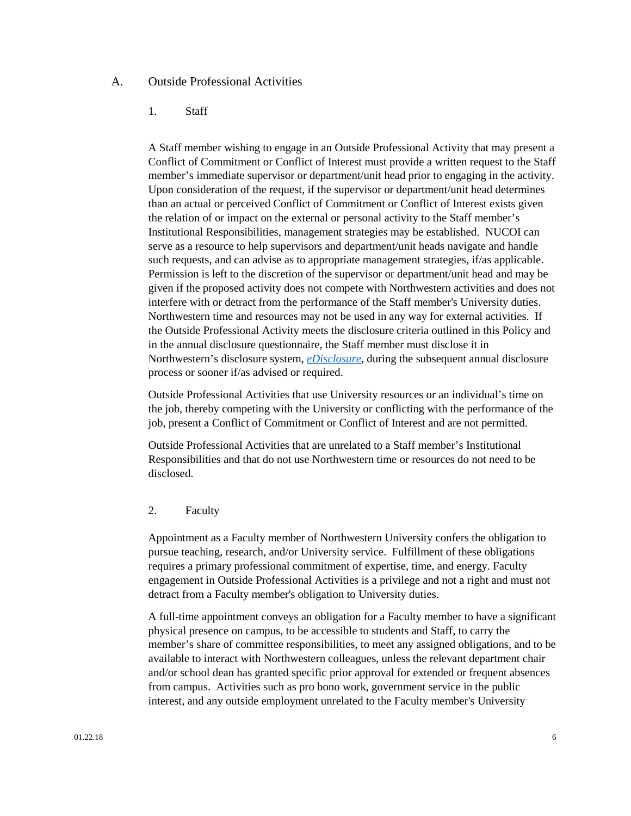#### <span id="page-5-0"></span>A. Outside Professional Activities

#### 1. Staff

A Staff member wishing to engage in an Outside Professional Activity that may present a Conflict of Commitment or Conflict of Interest must provide a written request to the Staff member's immediate supervisor or department/unit head prior to engaging in the activity. Upon consideration of the request, if the supervisor or department/unit head determines than an actual or perceived Conflict of Commitment or Conflict of Interest exists given the relation of or impact on the external or personal activity to the Staff member's Institutional Responsibilities, management strategies may be established. NUCOI can serve as a resource to help supervisors and department/unit heads navigate and handle such requests, and can advise as to appropriate management strategies, if/as applicable. Permission is left to the discretion of the supervisor or department/unit head and may be given if the proposed activity does not compete with Northwestern activities and does not interfere with or detract from the performance of the Staff member's University duties. Northwestern time and resources may not be used in any way for external activities. If the Outside Professional Activity meets the disclosure criteria outlined in this Policy and in the annual disclosure questionnaire, the Staff member must disclose it in Northwestern's disclosure system, *[eDisclosure](https://coi.northwestern.edu/)*, during the subsequent annual disclosure process or sooner if/as advised or required.

Outside Professional Activities that use University resources or an individual's time on the job, thereby competing with the University or conflicting with the performance of the job, present a Conflict of Commitment or Conflict of Interest and are not permitted.

Outside Professional Activities that are unrelated to a Staff member's Institutional Responsibilities and that do not use Northwestern time or resources do not need to be disclosed.

#### 2. Faculty

Appointment as a Faculty member of Northwestern University confers the obligation to pursue teaching, research, and/or University service. Fulfillment of these obligations requires a primary professional commitment of expertise, time, and energy. Faculty engagement in Outside Professional Activities is a privilege and not a right and must not detract from a Faculty member's obligation to University duties.

A full-time appointment conveys an obligation for a Faculty member to have a significant physical presence on campus, to be accessible to students and Staff, to carry the member's share of committee responsibilities, to meet any assigned obligations, and to be available to interact with Northwestern colleagues, unless the relevant department chair and/or school dean has granted specific prior approval for extended or frequent absences from campus. Activities such as pro bono work, government service in the public interest, and any outside employment unrelated to the Faculty member's University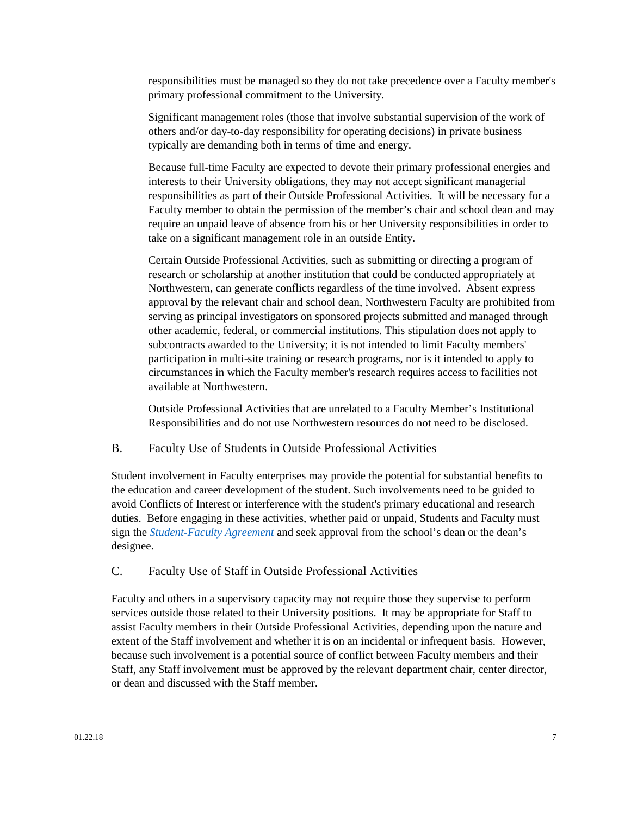responsibilities must be managed so they do not take precedence over a Faculty member's primary professional commitment to the University.

Significant management roles (those that involve substantial supervision of the work of others and/or day-to-day responsibility for operating decisions) in private business typically are demanding both in terms of time and energy.

Because full-time Faculty are expected to devote their primary professional energies and interests to their University obligations, they may not accept significant managerial responsibilities as part of their Outside Professional Activities. It will be necessary for a Faculty member to obtain the permission of the member's chair and school dean and may require an unpaid leave of absence from his or her University responsibilities in order to take on a significant management role in an outside Entity.

Certain Outside Professional Activities, such as submitting or directing a program of research or scholarship at another institution that could be conducted appropriately at Northwestern, can generate conflicts regardless of the time involved. Absent express approval by the relevant chair and school dean, Northwestern Faculty are prohibited from serving as principal investigators on sponsored projects submitted and managed through other academic, federal, or commercial institutions. This stipulation does not apply to subcontracts awarded to the University; it is not intended to limit Faculty members' participation in multi-site training or research programs, nor is it intended to apply to circumstances in which the Faculty member's research requires access to facilities not available at Northwestern.

Outside Professional Activities that are unrelated to a Faculty Member's Institutional Responsibilities and do not use Northwestern resources do not need to be disclosed.

#### <span id="page-6-0"></span>B. Faculty Use of Students in Outside Professional Activities

Student involvement in Faculty enterprises may provide the potential for substantial benefits to the education and career development of the student. Such involvements need to be guided to avoid Conflicts of Interest or interference with the student's primary educational and research duties. Before engaging in these activities, whether paid or unpaid, Students and Faculty must sign the *[Student-Faculty](http://www.northwestern.edu/coi/policy/student_faculty_agreement.docx) [Agreement](http://www.northwestern.edu/coi/policy/student_faculty_agreement.docx)* and seek approval from the school's dean or the dean's designee.

#### <span id="page-6-1"></span>C. Faculty Use of Staff in Outside Professional Activities

Faculty and others in a supervisory capacity may not require those they supervise to perform services outside those related to their University positions. It may be appropriate for Staff to assist Faculty members in their Outside Professional Activities, depending upon the nature and extent of the Staff involvement and whether it is on an incidental or infrequent basis. However, because such involvement is a potential source of conflict between Faculty members and their Staff, any Staff involvement must be approved by the relevant department chair, center director, or dean and discussed with the Staff member.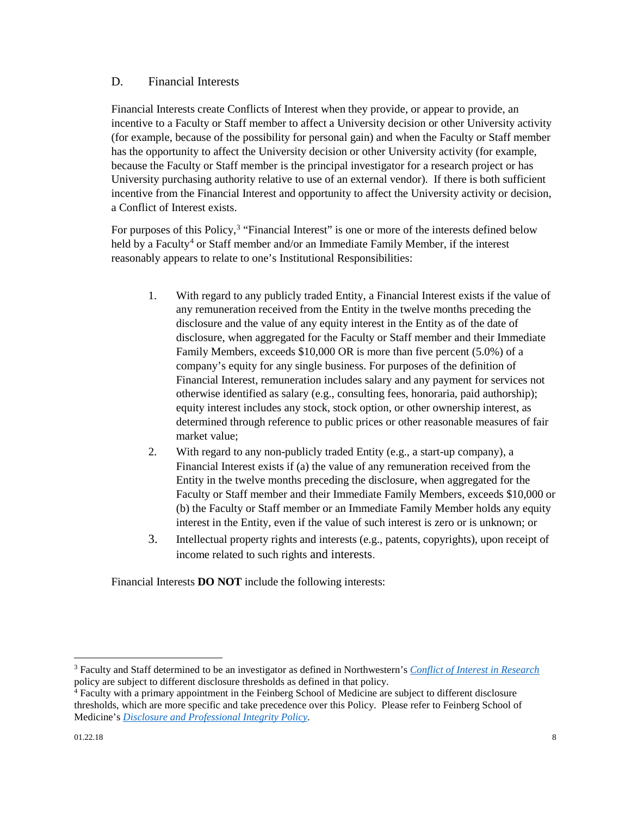#### <span id="page-7-0"></span>D. Financial Interests

Financial Interests create Conflicts of Interest when they provide, or appear to provide, an incentive to a Faculty or Staff member to affect a University decision or other University activity (for example, because of the possibility for personal gain) and when the Faculty or Staff member has the opportunity to affect the University decision or other University activity (for example, because the Faculty or Staff member is the principal investigator for a research project or has University purchasing authority relative to use of an external vendor). If there is both sufficient incentive from the Financial Interest and opportunity to affect the University activity or decision, a Conflict of Interest exists.

For purposes of this Policy,<sup>[3](#page-7-1)</sup> "Financial Interest" is one or more of the interests defined below held by a Faculty<sup>[4](#page-7-2)</sup> or Staff member and/or an Immediate Family Member, if the interest reasonably appears to relate to one's Institutional Responsibilities:

- 1. With regard to any publicly traded Entity, a Financial Interest exists if the value of any remuneration received from the Entity in the twelve months preceding the disclosure and the value of any equity interest in the Entity as of the date of disclosure, when aggregated for the Faculty or Staff member and their Immediate Family Members, exceeds \$10,000 OR is more than five percent (5.0%) of a company's equity for any single business. For purposes of the definition of Financial Interest, remuneration includes salary and any payment for services not otherwise identified as salary (e.g., consulting fees, honoraria, paid authorship); equity interest includes any stock, stock option, or other ownership interest, as determined through reference to public prices or other reasonable measures of fair market value;
- 2. With regard to any non-publicly traded Entity (e.g., a start-up company), a Financial Interest exists if (a) the value of any remuneration received from the Entity in the twelve months preceding the disclosure, when aggregated for the Faculty or Staff member and their Immediate Family Members, exceeds \$10,000 or (b) the Faculty or Staff member or an Immediate Family Member holds any equity interest in the Entity, even if the value of such interest is zero or is unknown; or
- 3. Intellectual property rights and interests (e.g., patents, copyrights), upon receipt of income related to such rights and interests.

Financial Interests **DO NOT** include the following interests:

 $\overline{\phantom{a}}$ 

<span id="page-7-1"></span><sup>3</sup> Faculty and Staff determined to be an investigator as defined in Northwestern's *[Conflict of Interest in Research](http://www.northwestern.edu/coi/policy/research_policy.pdf)* policy are subject to different disclosure thresholds as defined in that policy.

<span id="page-7-2"></span> $4$  Faculty with a primary appointment in the Feinberg School of Medicine are subject to different disclosure thresholds, which are more specific and take precedence over this Policy. Please refer to Feinberg School of Medicine's *[Disclosure and Professional Integrity Policy](http://www.feinberg.northwestern.edu/compliance/documents/2017_feinberg_disc_integ_policy1.pdf)*.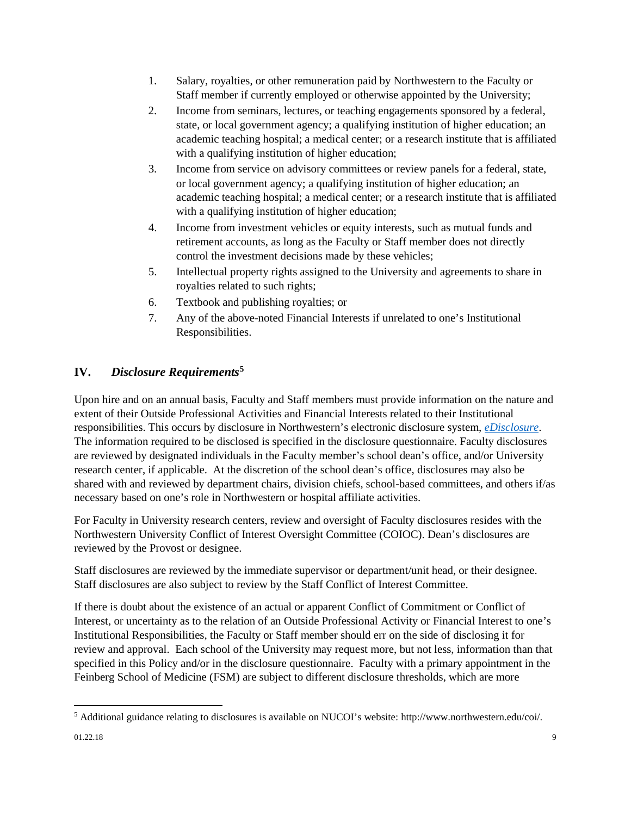- 1. Salary, royalties, or other remuneration paid by Northwestern to the Faculty or Staff member if currently employed or otherwise appointed by the University;
- 2. Income from seminars, lectures, or teaching engagements sponsored by a federal, state, or local government agency; a qualifying institution of higher education; an academic teaching hospital; a medical center; or a research institute that is affiliated with a qualifying institution of higher education;
- 3. Income from service on advisory committees or review panels for a federal, state, or local government agency; a qualifying institution of higher education; an academic teaching hospital; a medical center; or a research institute that is affiliated with a qualifying institution of higher education;
- 4. Income from investment vehicles or equity interests, such as mutual funds and retirement accounts, as long as the Faculty or Staff member does not directly control the investment decisions made by these vehicles;
- 5. Intellectual property rights assigned to the University and agreements to share in royalties related to such rights;
- 6. Textbook and publishing royalties; or
- 7. Any of the above-noted Financial Interests if unrelated to one's Institutional Responsibilities.

## <span id="page-8-0"></span>**IV.** *Disclosure Requirements***[5](#page-8-1)**

Upon hire and on an annual basis, Faculty and Staff members must provide information on the nature and extent of their Outside Professional Activities and Financial Interests related to their Institutional responsibilities. This occurs by disclosure in Northwestern's electronic disclosure system, *[eDisclosure](https://coi.northwestern.edu/)*. The information required to be disclosed is specified in the disclosure questionnaire. Faculty disclosures are reviewed by designated individuals in the Faculty member's school dean's office, and/or University research center, if applicable. At the discretion of the school dean's office, disclosures may also be shared with and reviewed by department chairs, division chiefs, school-based committees, and others if/as necessary based on one's role in Northwestern or hospital affiliate activities.

For Faculty in University research centers, review and oversight of Faculty disclosures resides with the Northwestern University Conflict of Interest Oversight Committee (COIOC). Dean's disclosures are reviewed by the Provost or designee.

Staff disclosures are reviewed by the immediate supervisor or department/unit head, or their designee. Staff disclosures are also subject to review by the Staff Conflict of Interest Committee.

If there is doubt about the existence of an actual or apparent Conflict of Commitment or Conflict of Interest, or uncertainty as to the relation of an Outside Professional Activity or Financial Interest to one's Institutional Responsibilities, the Faculty or Staff member should err on the side of disclosing it for review and approval. Each school of the University may request more, but not less, information than that specified in this Policy and/or in the disclosure questionnaire. Faculty with a primary appointment in the Feinberg School of Medicine (FSM) are subject to different disclosure thresholds, which are more

<span id="page-8-1"></span> $\overline{\phantom{a}}$ <sup>5</sup> Additional guidance relating to disclosures is available on NUCOI's website: http://www.northwestern.edu/coi/.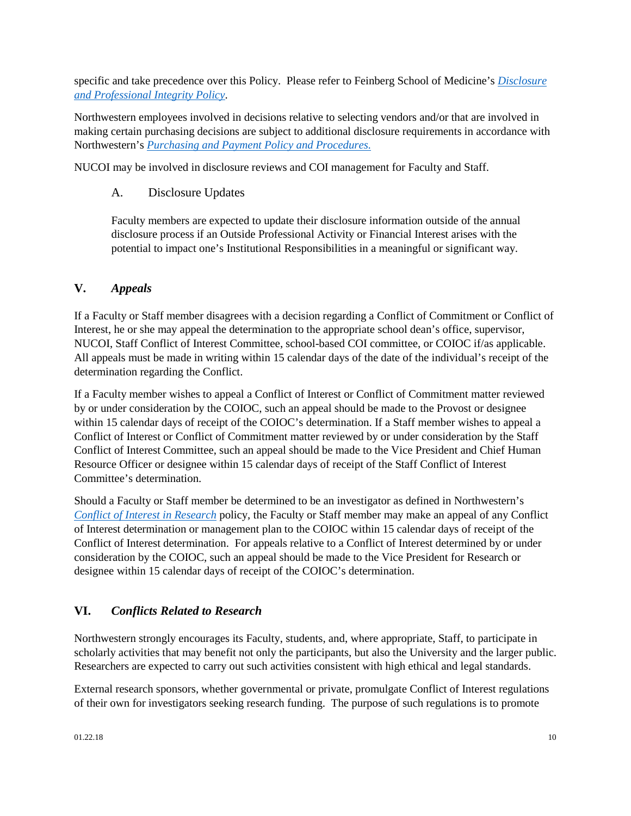specific and take precedence over this Policy. Please refer to Feinberg School of Medicine's *[Disclosure](http://www.feinberg.northwestern.edu/compliance/documents/2017_feinberg_disc_integ_policy1.pdf)  [and Professional Integrity Policy](http://www.feinberg.northwestern.edu/compliance/documents/2017_feinberg_disc_integ_policy1.pdf)*.

Northwestern employees involved in decisions relative to selecting vendors and/or that are involved in making certain purchasing decisions are subject to additional disclosure requirements in accordance with Northwestern's *[Purchasing and Payment Policy and Procedures.](http://www.northwestern.edu/financial-operations/policies-procedures/policies/purchasing-payment-policy.pdf)* 

NUCOI may be involved in disclosure reviews and COI management for Faculty and Staff.

### A. Disclosure Updates

Faculty members are expected to update their disclosure information outside of the annual disclosure process if an Outside Professional Activity or Financial Interest arises with the potential to impact one's Institutional Responsibilities in a meaningful or significant way.

### <span id="page-9-0"></span>**V.** *Appeals*

If a Faculty or Staff member disagrees with a decision regarding a Conflict of Commitment or Conflict of Interest, he or she may appeal the determination to the appropriate school dean's office, supervisor, NUCOI, Staff Conflict of Interest Committee, school-based COI committee, or COIOC if/as applicable. All appeals must be made in writing within 15 calendar days of the date of the individual's receipt of the determination regarding the Conflict.

If a Faculty member wishes to appeal a Conflict of Interest or Conflict of Commitment matter reviewed by or under consideration by the COIOC, such an appeal should be made to the Provost or designee within 15 calendar days of receipt of the COIOC's determination. If a Staff member wishes to appeal a Conflict of Interest or Conflict of Commitment matter reviewed by or under consideration by the Staff Conflict of Interest Committee, such an appeal should be made to the Vice President and Chief Human Resource Officer or designee within 15 calendar days of receipt of the Staff Conflict of Interest Committee's determination.

Should a Faculty or Staff member be determined to be an investigator as defined in Northwestern's *[Conflict of Interest in Research](http://www.northwestern.edu/coi/policy/research_policy.pdf)* policy, the Faculty or Staff member may make an appeal of any Conflict of Interest determination or management plan to the COIOC within 15 calendar days of receipt of the Conflict of Interest determination. For appeals relative to a Conflict of Interest determined by or under consideration by the COIOC, such an appeal should be made to the Vice President for Research or designee within 15 calendar days of receipt of the COIOC's determination.

### <span id="page-9-1"></span>**VI.** *Conflicts Related to Research*

Northwestern strongly encourages its Faculty, students, and, where appropriate, Staff, to participate in scholarly activities that may benefit not only the participants, but also the University and the larger public. Researchers are expected to carry out such activities consistent with high ethical and legal standards.

External research sponsors, whether governmental or private, promulgate Conflict of Interest regulations of their own for investigators seeking research funding. The purpose of such regulations is to promote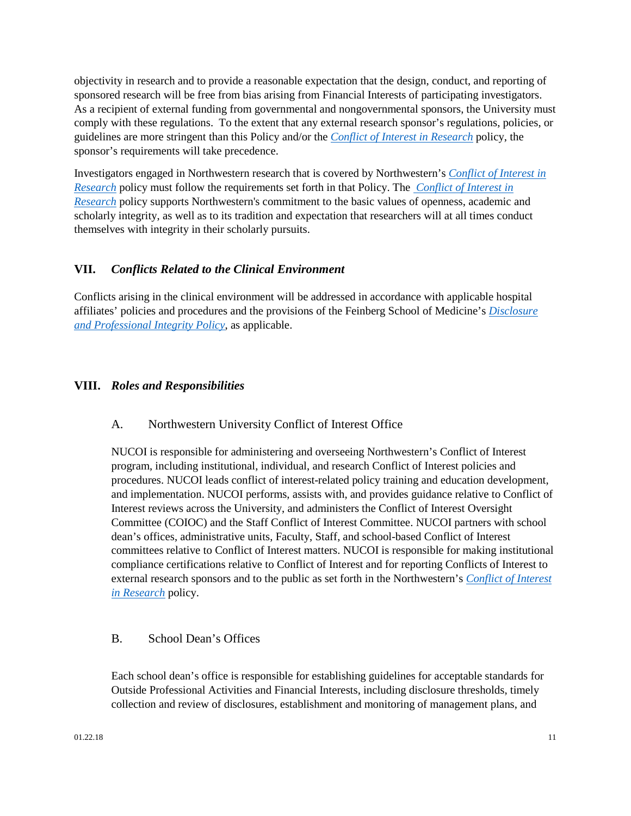objectivity in research and to provide a reasonable expectation that the design, conduct, and reporting of sponsored research will be free from bias arising from Financial Interests of participating investigators. As a recipient of external funding from governmental and nongovernmental sponsors, the University must comply with these regulations. To the extent that any external research sponsor's regulations, policies, or guidelines are more stringent than this Policy and/or the *[Conflict of Interest in Research](http://www.northwestern.edu/coi/policy/research_policy.pdf)* policy, the sponsor's requirements will take precedence.

Investigators engaged in Northwestern research that is covered by Northwestern's *[Conflict of Interest in](http://www.northwestern.edu/coi/policy/research_policy.pdf)  [Research](http://www.northwestern.edu/coi/policy/research_policy.pdf)* policy must follow the requirements set forth in that Policy. The *[Conflict of Interest in](http://www.northwestern.edu/coi/policy/research_policy.pdf)  [Research](http://www.northwestern.edu/coi/policy/research_policy.pdf)* policy supports Northwestern's commitment to the basic values of openness, academic and scholarly integrity, as well as to its tradition and expectation that researchers will at all times conduct themselves with integrity in their scholarly pursuits.

#### <span id="page-10-0"></span>**VII.** *Conflicts Related to the Clinical Environment*

Conflicts arising in the clinical environment will be addressed in accordance with applicable hospital affiliates' policies and procedures and the provisions of the Feinberg School of Medicine's *[Disclosure](http://www.feinberg.northwestern.edu/compliance/documents/2017_feinberg_disc_integ_policy1.pdf)  [and Professional Integrity Policy](http://www.feinberg.northwestern.edu/compliance/documents/2017_feinberg_disc_integ_policy1.pdf)*, as applicable.

#### <span id="page-10-2"></span><span id="page-10-1"></span>**VIII.** *Roles and Responsibilities*

#### A. Northwestern University Conflict of Interest Office

NUCOI is responsible for administering and overseeing Northwestern's Conflict of Interest program, including institutional, individual, and research Conflict of Interest policies and procedures. NUCOI leads conflict of interest-related policy training and education development, and implementation. NUCOI performs, assists with, and provides guidance relative to Conflict of Interest reviews across the University, and administers the Conflict of Interest Oversight Committee (COIOC) and the Staff Conflict of Interest Committee. NUCOI partners with school dean's offices, administrative units, Faculty, Staff, and school-based Conflict of Interest committees relative to Conflict of Interest matters. NUCOI is responsible for making institutional compliance certifications relative to Conflict of Interest and for reporting Conflicts of Interest to external research sponsors and to the public as set forth in the Northwestern's *[Conflict of Interest](http://www.northwestern.edu/coi/policy/research_policy.pdf)  [in Research](http://www.northwestern.edu/coi/policy/research_policy.pdf)* policy.

#### <span id="page-10-3"></span>B. School Dean's Offices

Each school dean's office is responsible for establishing guidelines for acceptable standards for Outside Professional Activities and Financial Interests, including disclosure thresholds, timely collection and review of disclosures, establishment and monitoring of management plans, and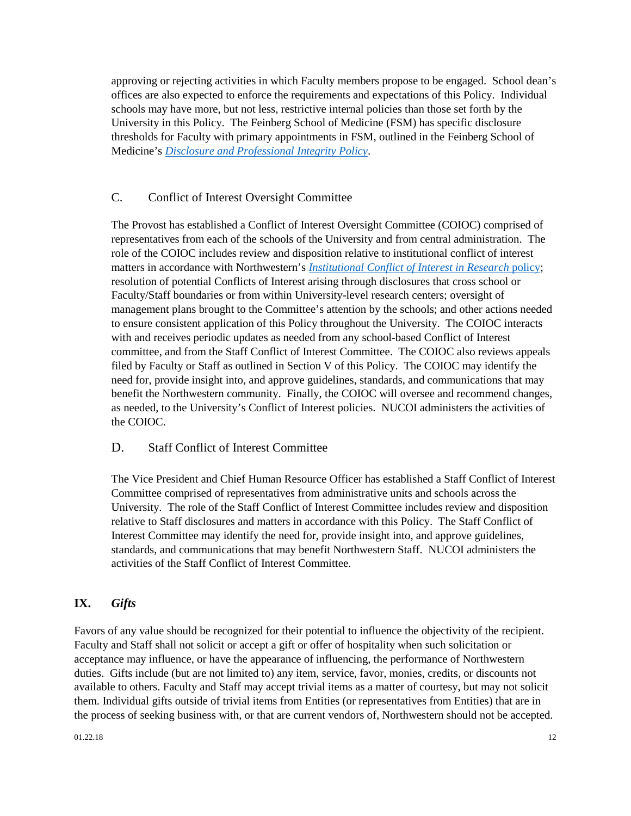approving or rejecting activities in which Faculty members propose to be engaged. School dean's offices are also expected to enforce the requirements and expectations of this Policy. Individual schools may have more, but not less, restrictive internal policies than those set forth by the University in this Policy. The Feinberg School of Medicine (FSM) has specific disclosure thresholds for Faculty with primary appointments in FSM, outlined in the Feinberg School of Medicine's *[Disclosure and Professional Integrity Policy](http://www.feinberg.northwestern.edu/compliance/documents/2017_feinberg_disc_integ_policy1.pdf)*.

#### <span id="page-11-0"></span>C. Conflict of Interest Oversight Committee

The Provost has established a Conflict of Interest Oversight Committee (COIOC) comprised of representatives from each of the schools of the University and from central administration. The role of the COIOC includes review and disposition relative to institutional conflict of interest matters in accordance with Northwestern's *[Institutional Conflict of Interest in Research](http://www.northwestern.edu/coi/policy/institutional_policy.pdf)* policy; resolution of potential Conflicts of Interest arising through disclosures that cross school or Faculty/Staff boundaries or from within University-level research centers; oversight of management plans brought to the Committee's attention by the schools; and other actions needed to ensure consistent application of this Policy throughout the University. The COIOC interacts with and receives periodic updates as needed from any school-based Conflict of Interest committee, and from the Staff Conflict of Interest Committee. The COIOC also reviews appeals filed by Faculty or Staff as outlined in Section V of this Policy. The COIOC may identify the need for, provide insight into, and approve guidelines, standards, and communications that may benefit the Northwestern community. Finally, the COIOC will oversee and recommend changes, as needed, to the University's Conflict of Interest policies. NUCOI administers the activities of the COIOC.

#### <span id="page-11-1"></span>D. Staff Conflict of Interest Committee

The Vice President and Chief Human Resource Officer has established a Staff Conflict of Interest Committee comprised of representatives from administrative units and schools across the University. The role of the Staff Conflict of Interest Committee includes review and disposition relative to Staff disclosures and matters in accordance with this Policy. The Staff Conflict of Interest Committee may identify the need for, provide insight into, and approve guidelines, standards, and communications that may benefit Northwestern Staff. NUCOI administers the activities of the Staff Conflict of Interest Committee.

### <span id="page-11-2"></span>**IX.** *Gifts*

Favors of any value should be recognized for their potential to influence the objectivity of the recipient. Faculty and Staff shall not solicit or accept a gift or offer of hospitality when such solicitation or acceptance may influence, or have the appearance of influencing, the performance of Northwestern duties. Gifts include (but are not limited to) any item, service, favor, monies, credits, or discounts not available to others. Faculty and Staff may accept trivial items as a matter of courtesy, but may not solicit them. Individual gifts outside of trivial items from Entities (or representatives from Entities) that are in the process of seeking business with, or that are current vendors of, Northwestern should not be accepted.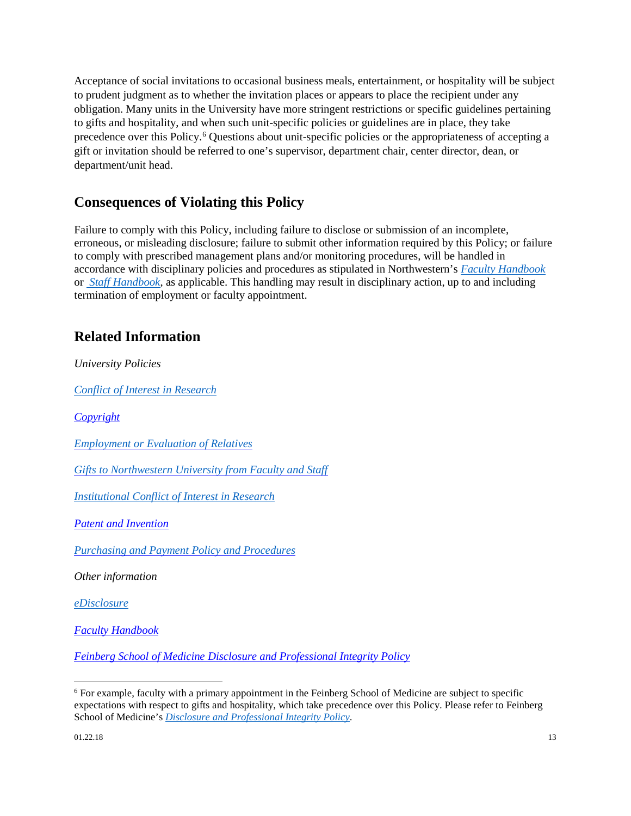Acceptance of social invitations to occasional business meals, entertainment, or hospitality will be subject to prudent judgment as to whether the invitation places or appears to place the recipient under any obligation. Many units in the University have more stringent restrictions or specific guidelines pertaining to gifts and hospitality, and when such unit-specific policies or guidelines are in place, they take precedence over this Policy.[6](#page-12-2) Questions about unit-specific policies or the appropriateness of accepting a gift or invitation should be referred to one's supervisor, department chair, center director, dean, or department/unit head.

## <span id="page-12-0"></span>**Consequences of Violating this Policy**

Failure to comply with this Policy, including failure to disclose or submission of an incomplete, erroneous, or misleading disclosure; failure to submit other information required by this Policy; or failure to comply with prescribed management plans and/or monitoring procedures, will be handled in accordance with disciplinary policies and procedures as stipulated in Northwestern's *[Faculty Handbook](http://www.northwestern.edu/provost/docs/faculty-handbook.pdf)* or *[Staff Handbook](http://www.northwestern.edu/hr/policies-forms/policies-procedures/NU_Staff_Handbook.pdf)*, as applicable. This handling may result in disciplinary action, up to and including termination of employment or faculty appointment.

## <span id="page-12-1"></span>**Related Information**

*University Policies*

*[Conflict of Interest in Research](http://www.northwestern.edu/coi/policy/research_policy.pdf)* 

*[Copyright](http://www.invo.northwestern.edu/policies/copyright-policy)*

*[Employment or Evaluation of Relatives](http://policies.northwestern.edu/docs/employment-or-evaluation-of-relatives-policy.pdf)*

*[Gifts to Northwestern University from Faculty and Staff](http://www.northwestern.edu/financial-operations/policies-procedures/policies/facultystaff_giftpolicy.pdf)*

*[Institutional Conflict of Interest in Research](http://www.northwestern.edu/coi/policy/institutional_policy.pdf)*

*Patent [and Invention](http://policies.northwestern.edu/docs/patent-and-invention-policy-FINAL.pdf)*

*Purchasing and Payment [Policy and Procedures](http://www.northwestern.edu/financial-operations/policies-procedures/policies/purchasing-payment-policy.pdf)* 

*Other information*

*[eDisclosure](https://coi.northwestern.edu/)*

*[Faculty Handbook](http://www.northwestern.edu/provost/docs/faculty-handbook.pdf)*

*Feinberg School of Medicine Disclosure [and Professional Integrity Policy](http://www.feinberg.northwestern.edu/compliance/documents/fsm12_disclosure_and_pi_policy.pdf)*

l

<span id="page-12-2"></span><sup>6</sup> For example, faculty with a primary appointment in the Feinberg School of Medicine are subject to specific expectations with respect to gifts and hospitality, which take precedence over this Policy. Please refer to Feinberg School of Medicine's *[Disclosure and Professional Integrity Policy](http://www.feinberg.northwestern.edu/compliance/documents/2017_feinberg_disc_integ_policy1.pdf)*.